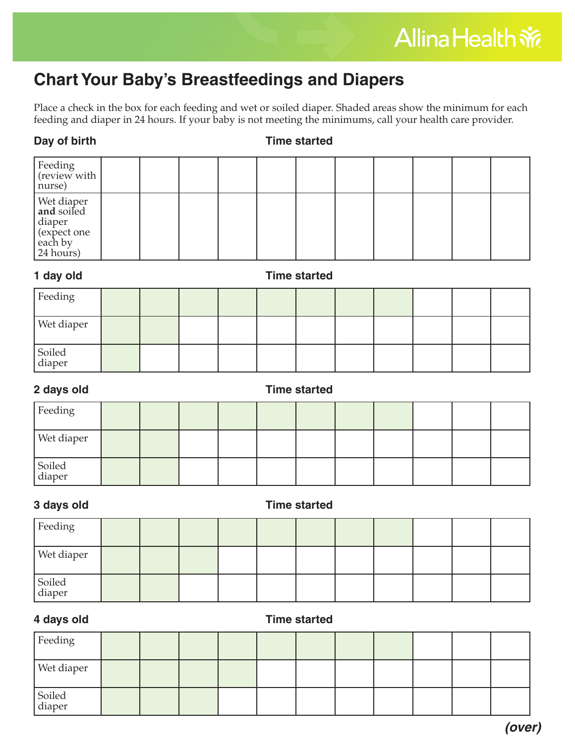## **Chart Your Baby's Breastfeedings and Diapers**

Place a check in the box for each feeding and wet or soiled diaper. Shaded areas show the minimum for each feeding and diaper in 24 hours. If your baby is not meeting the minimums, call your health care provider.

### **Day of birth Time started**

| $\vert$ Feeding $\vert$ (review with $\vert$<br>nurse)                    |  |  |  |  |  |  |
|---------------------------------------------------------------------------|--|--|--|--|--|--|
| Wet diaper<br>and soiled<br>diaper<br>(expect one<br>each by<br>24 hours) |  |  |  |  |  |  |

### **1 day old Time started**

| Feeding          |  |  |  |  |  |  |
|------------------|--|--|--|--|--|--|
| Wet diaper       |  |  |  |  |  |  |
| Soiled<br>diaper |  |  |  |  |  |  |

# Feeding **2 days old Time started**

| Wet diaper       |  |  |  |  |  |  |
|------------------|--|--|--|--|--|--|
| Soiled<br>diaper |  |  |  |  |  |  |

### **3 days old Time started**

| Feeding          |  |  |  |  |  |  |
|------------------|--|--|--|--|--|--|
| Wet diaper       |  |  |  |  |  |  |
| Soiled<br>diaper |  |  |  |  |  |  |

### **4 days old Time started**

| Feeding          |  |  |  |  |  |  |
|------------------|--|--|--|--|--|--|
| Wet diaper       |  |  |  |  |  |  |
| Soiled<br>diaper |  |  |  |  |  |  |